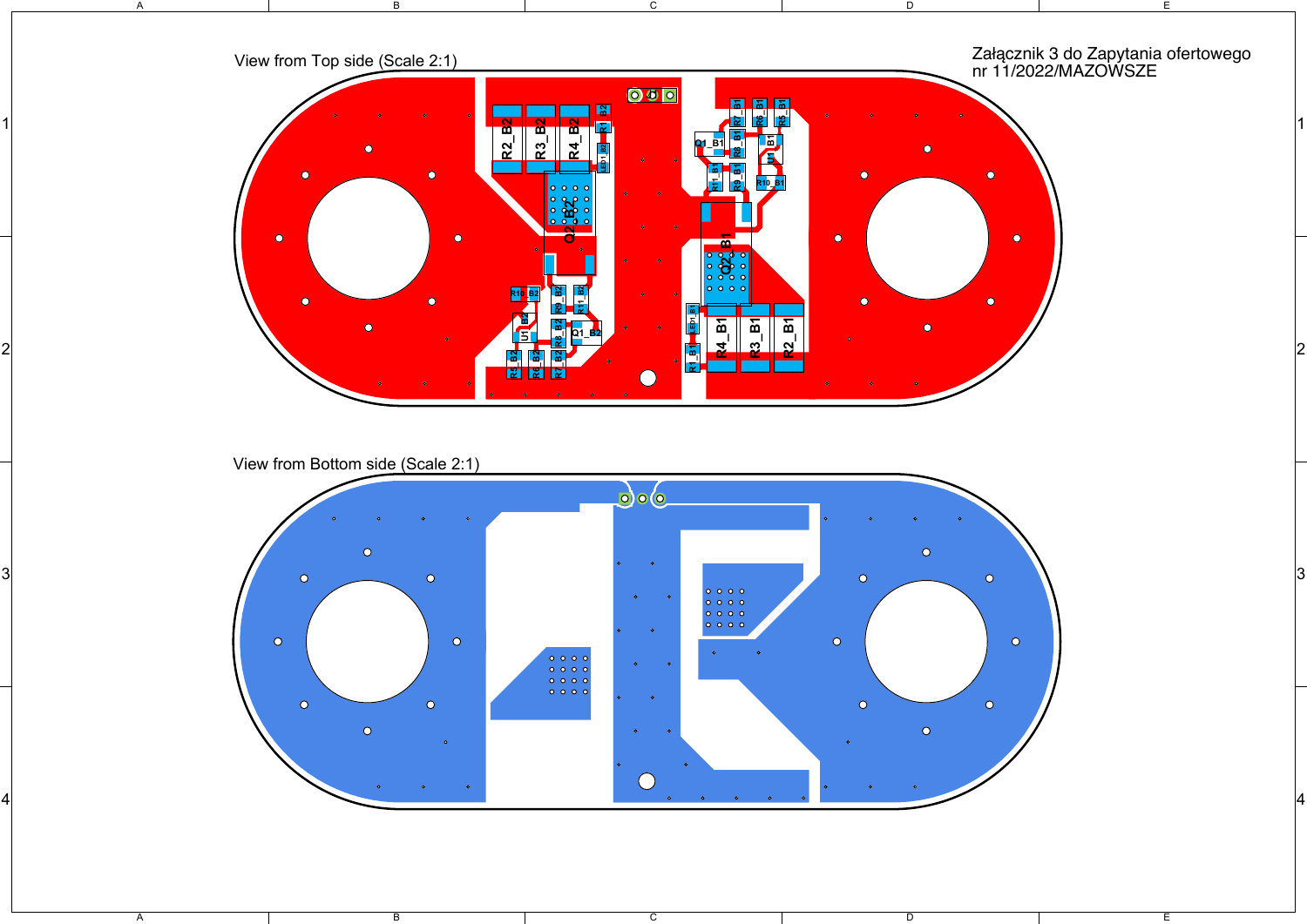

View from Bottom side (Scale 2:1)

 $\overline{B}$ 

A

A



 $\overline{\mathsf{c}}$ 

 $\overline{\mathsf{D}}$ 

E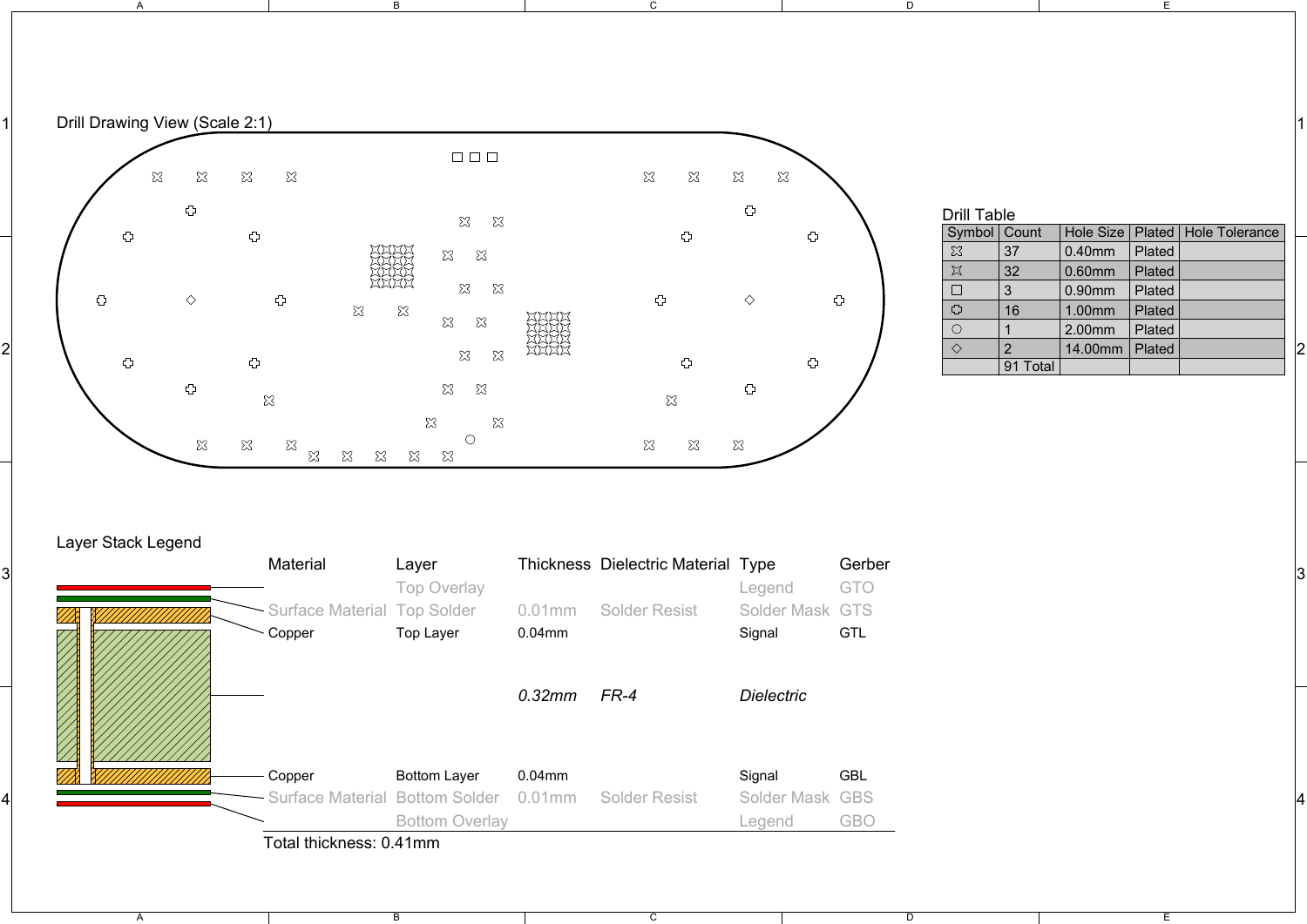